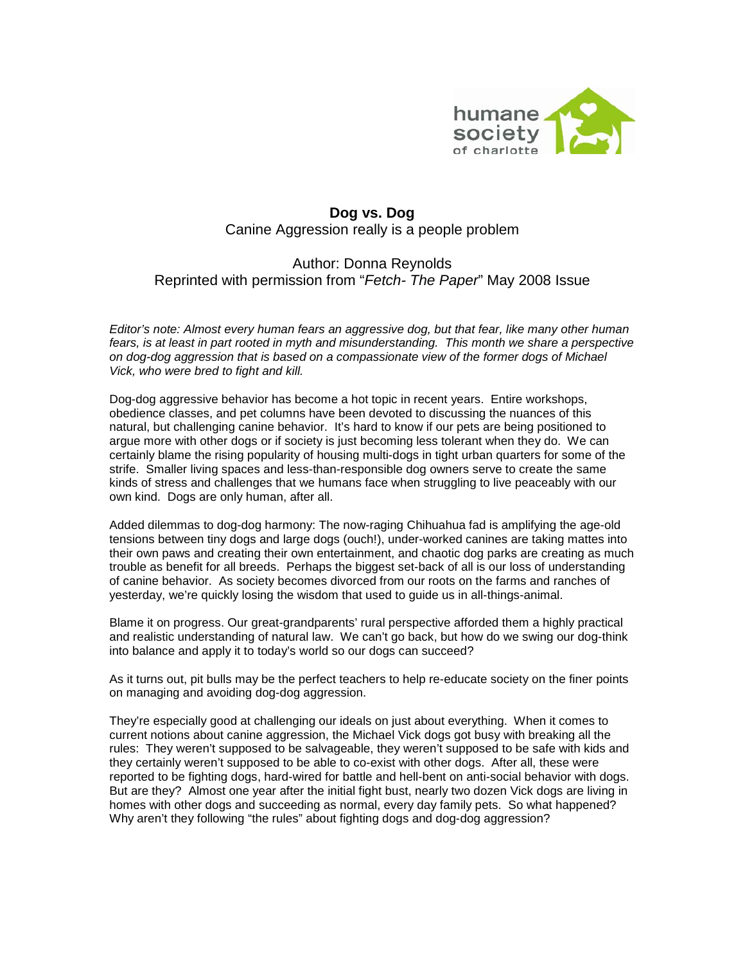

## **Dog vs. Dog** Canine Aggression really is a people problem

## Author: Donna Reynolds Reprinted with permission from "*Fetch- The Paper*" May 2008 Issue

*Editor's note: Almost every human fears an aggressive dog, but that fear, like many other human fears, is at least in part rooted in myth and misunderstanding. This month we share a perspective on dog-dog aggression that is based on a compassionate view of the former dogs of Michael Vick, who were bred to fight and kill.*

Dog-dog aggressive behavior has become a hot topic in recent years. Entire workshops, obedience classes, and pet columns have been devoted to discussing the nuances of this natural, but challenging canine behavior. It's hard to know if our pets are being positioned to argue more with other dogs or if society is just becoming less tolerant when they do. We can certainly blame the rising popularity of housing multi-dogs in tight urban quarters for some of the strife. Smaller living spaces and less-than-responsible dog owners serve to create the same kinds of stress and challenges that we humans face when struggling to live peaceably with our own kind. Dogs are only human, after all.

Added dilemmas to dog-dog harmony: The now-raging Chihuahua fad is amplifying the age-old tensions between tiny dogs and large dogs (ouch!), under-worked canines are taking mattes into their own paws and creating their own entertainment, and chaotic dog parks are creating as much trouble as benefit for all breeds. Perhaps the biggest set-back of all is our loss of understanding of canine behavior. As society becomes divorced from our roots on the farms and ranches of yesterday, we're quickly losing the wisdom that used to guide us in all-things-animal.

Blame it on progress. Our great-grandparents' rural perspective afforded them a highly practical and realistic understanding of natural law. We can't go back, but how do we swing our dog-think into balance and apply it to today's world so our dogs can succeed?

As it turns out, pit bulls may be the perfect teachers to help re-educate society on the finer points on managing and avoiding dog-dog aggression.

They're especially good at challenging our ideals on just about everything. When it comes to current notions about canine aggression, the Michael Vick dogs got busy with breaking all the rules: They weren't supposed to be salvageable, they weren't supposed to be safe with kids and they certainly weren't supposed to be able to co-exist with other dogs. After all, these were reported to be fighting dogs, hard-wired for battle and hell-bent on anti-social behavior with dogs. But are they? Almost one year after the initial fight bust, nearly two dozen Vick dogs are living in homes with other dogs and succeeding as normal, every day family pets. So what happened? Why aren't they following "the rules" about fighting dogs and dog-dog aggression?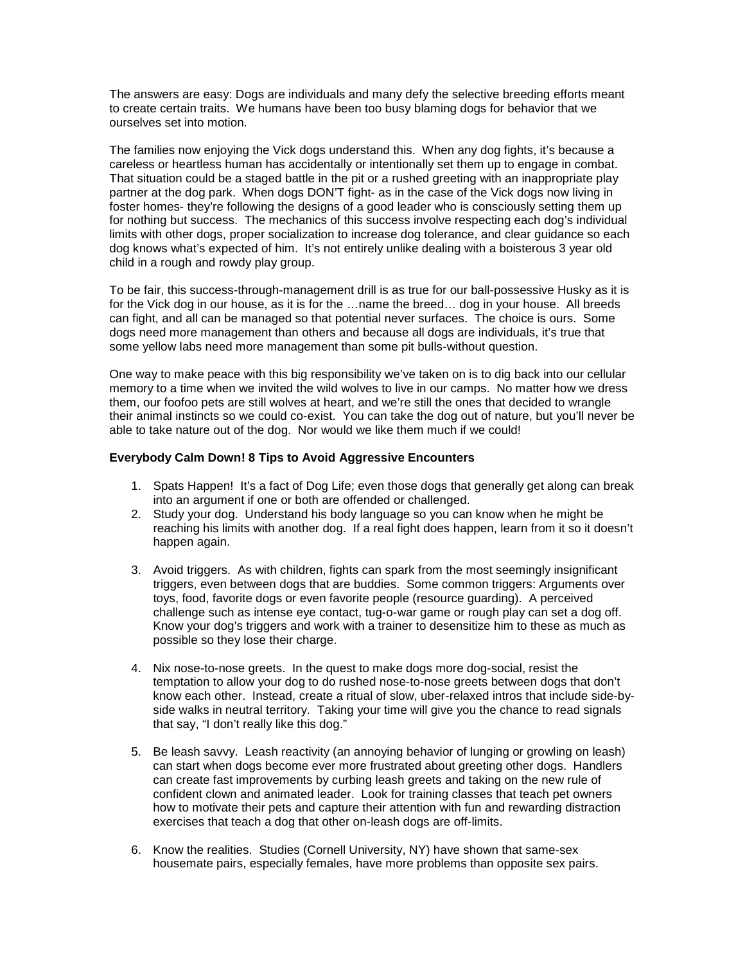The answers are easy: Dogs are individuals and many defy the selective breeding efforts meant to create certain traits. We humans have been too busy blaming dogs for behavior that we ourselves set into motion.

The families now enjoying the Vick dogs understand this. When any dog fights, it's because a careless or heartless human has accidentally or intentionally set them up to engage in combat. That situation could be a staged battle in the pit or a rushed greeting with an inappropriate play partner at the dog park. When dogs DON'T fight- as in the case of the Vick dogs now living in foster homes- they're following the designs of a good leader who is consciously setting them up for nothing but success. The mechanics of this success involve respecting each dog's individual limits with other dogs, proper socialization to increase dog tolerance, and clear guidance so each dog knows what's expected of him. It's not entirely unlike dealing with a boisterous 3 year old child in a rough and rowdy play group.

To be fair, this success-through-management drill is as true for our ball-possessive Husky as it is for the Vick dog in our house, as it is for the …name the breed… dog in your house. All breeds can fight, and all can be managed so that potential never surfaces. The choice is ours. Some dogs need more management than others and because all dogs are individuals, it's true that some yellow labs need more management than some pit bulls-without question.

One way to make peace with this big responsibility we've taken on is to dig back into our cellular memory to a time when we invited the wild wolves to live in our camps. No matter how we dress them, our foofoo pets are still wolves at heart, and we're still the ones that decided to wrangle their animal instincts so we could co-exist. You can take the dog out of nature, but you'll never be able to take nature out of the dog. Nor would we like them much if we could!

## **Everybody Calm Down! 8 Tips to Avoid Aggressive Encounters**

- 1. Spats Happen! It's a fact of Dog Life; even those dogs that generally get along can break into an argument if one or both are offended or challenged.
- 2. Study your dog. Understand his body language so you can know when he might be reaching his limits with another dog. If a real fight does happen, learn from it so it doesn't happen again.
- 3. Avoid triggers. As with children, fights can spark from the most seemingly insignificant triggers, even between dogs that are buddies. Some common triggers: Arguments over toys, food, favorite dogs or even favorite people (resource guarding). A perceived challenge such as intense eye contact, tug-o-war game or rough play can set a dog off. Know your dog's triggers and work with a trainer to desensitize him to these as much as possible so they lose their charge.
- 4. Nix nose-to-nose greets. In the quest to make dogs more dog-social, resist the temptation to allow your dog to do rushed nose-to-nose greets between dogs that don't know each other. Instead, create a ritual of slow, uber-relaxed intros that include side-byside walks in neutral territory. Taking your time will give you the chance to read signals that say, "I don't really like this dog."
- 5. Be leash savvy. Leash reactivity (an annoying behavior of lunging or growling on leash) can start when dogs become ever more frustrated about greeting other dogs. Handlers can create fast improvements by curbing leash greets and taking on the new rule of confident clown and animated leader. Look for training classes that teach pet owners how to motivate their pets and capture their attention with fun and rewarding distraction exercises that teach a dog that other on-leash dogs are off-limits.
- 6. Know the realities. Studies (Cornell University, NY) have shown that same-sex housemate pairs, especially females, have more problems than opposite sex pairs.